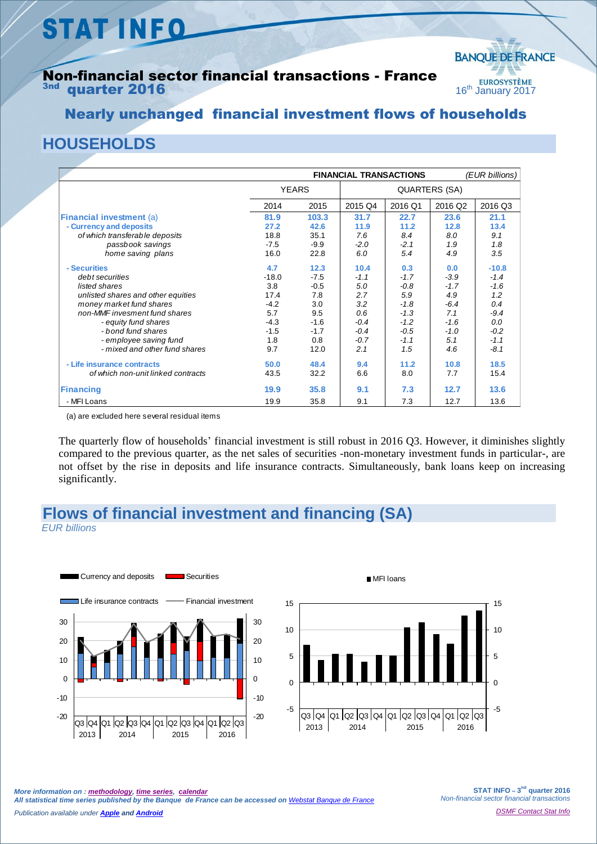# **STAT INFO**

#### Non-financial sector financial transactions - France quarter 2016



## Nearly unchanged financial investment flows of households

## **HOUSEHOLDS**

|                                    | <b>FINANCIAL TRANSACTIONS</b> |        |               |         | (EUR billions) |         |
|------------------------------------|-------------------------------|--------|---------------|---------|----------------|---------|
|                                    | <b>YEARS</b>                  |        | QUARTERS (SA) |         |                |         |
|                                    | 2014                          | 2015   | 2015 Q4       | 2016 Q1 | 2016 Q2        | 2016 Q3 |
| <b>Financial investment (a)</b>    | 81.9                          | 103.3  | 31.7          | 22.7    | 23.6           | 21.1    |
| - Currency and deposits            | 27.2                          | 42.6   | 11.9          | 11.2    | 12.8           | 13.4    |
| of which transferable deposits     | 18.8                          | 35.1   | 7.6           | 8.4     | 8.0            | 9.1     |
| passbook savings                   | $-7.5$                        | $-9.9$ | $-2.0$        | $-2.1$  | 1.9            | 1.8     |
| home saving plans                  | 16.0                          | 22.8   | 6.0           | 5.4     | 4.9            | 3.5     |
| - Securities                       | 4.7                           | 12.3   | 10.4          | 0.3     | 0.0            | $-10.8$ |
| debt securities                    | $-18.0$                       | $-7.5$ | $-1.1$        | $-1.7$  | $-3.9$         | $-1.4$  |
| listed shares                      | 3.8                           | $-0.5$ | 5.0           | $-0.8$  | $-1.7$         | $-1.6$  |
| unlisted shares and other equities | 17.4                          | 7.8    | 2.7           | 5.9     | 4.9            | 1.2     |
| money market fund shares           | $-4.2$                        | 3.0    | 3.2           | $-1.8$  | $-6.4$         | 0.4     |
| non-MMF invesment fund shares      | 5.7                           | 9.5    | 0.6           | $-1.3$  | 7.1            | $-9.4$  |
| - equity fund shares               | $-4.3$                        | $-1.6$ | $-0.4$        | $-1.2$  | $-1.6$         | 0.0     |
| - bond fund shares                 | $-1.5$                        | $-1.7$ | $-0.4$        | $-0.5$  | $-1.0$         | $-0.2$  |
| - employee saving fund             | 1.8                           | 0.8    | $-0.7$        | $-1.1$  | 5.1            | $-1.1$  |
| - mixed and other fund shares      | 9.7                           | 12.0   | 2.1           | 1.5     | 4.6            | $-8.1$  |
| - Life insurance contracts         | 50.0                          | 48.4   | 9.4           | 11.2    | 10.8           | 18.5    |
| of which non-unit linked contracts | 43.5                          | 32.2   | 6.6           | 8.0     | 7.7            | 15.4    |
| <b>Financing</b>                   | 19.9                          | 35.8   | 9.1           | 7.3     | 12.7           | 13.6    |
| - MFI Loans                        | 19.9                          | 35.8   | 9.1           | 7.3     | 12.7           | 13.6    |

(a) are excluded here several residual items

The quarterly flow of households' financial investment is still robust in 2016 Q3. However, it diminishes slightly compared to the previous quarter, as the net sales of securities -non-monetary investment funds in particular-, are not offset by the rise in deposits and life insurance contracts. Simultaneously, bank loans keep on increasing significantly.

# **Flows of financial investment and financing (SA)**

*EUR billions*





**STAT INFO – 3 nd quarter 2016** *Non-financial sector financial transactions*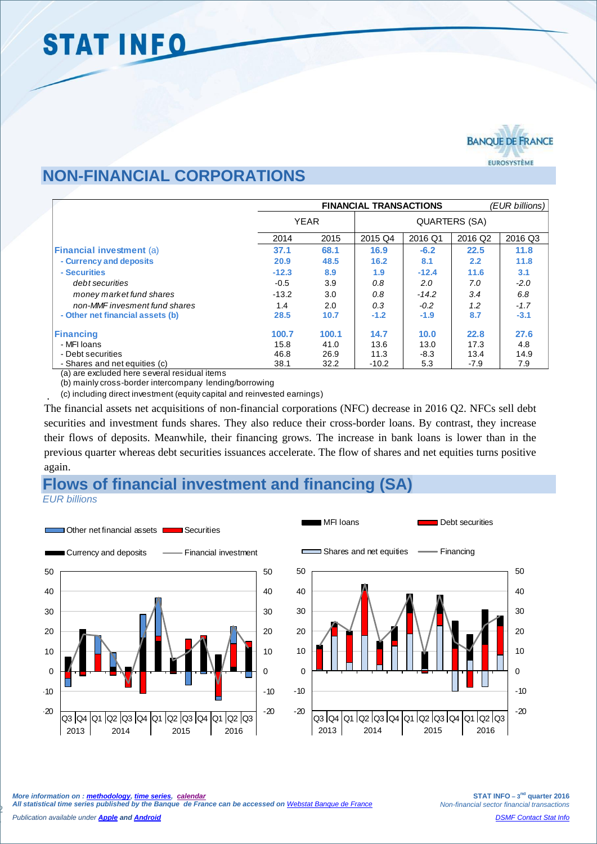

#### **NON-FINANCIAL CORPORATIONS**

|                                                            | <b>FINANCIAL TRANSACTIONS</b> |       |                      |         |                     | (EUR billions) |  |
|------------------------------------------------------------|-------------------------------|-------|----------------------|---------|---------------------|----------------|--|
|                                                            | <b>YEAR</b>                   |       | <b>QUARTERS (SA)</b> |         |                     |                |  |
|                                                            | 2014                          | 2015  | 2015 Q4              | 2016 Q1 | 2016 Q <sub>2</sub> | 2016 Q3        |  |
| <b>Financial investment (a)</b>                            | 37.1                          | 68.1  | 16.9                 | $-6.2$  | 22.5                | 11.8           |  |
| - Currency and deposits                                    | 20.9                          | 48.5  | 16.2                 | 8.1     | 2.2                 | 11.8           |  |
| - Securities                                               | $-12.3$                       | 8.9   | 1.9                  | $-12.4$ | 11.6                | 3.1            |  |
| debt securities                                            | $-0.5$                        | 3.9   | 0.8                  | 2.0     | 7.0                 | $-2.0$         |  |
| money market fund shares                                   | $-13.2$                       | 3.0   | 0.8                  | $-14.2$ | 3.4                 | 6.8            |  |
| non-MMF invesment fund shares                              | 1.4                           | 2.0   | 0.3                  | $-0.2$  | 1.2                 | $-1.7$         |  |
| - Other net financial assets (b)                           | 28.5                          | 10.7  | $-1.2$               | $-1.9$  | 8.7                 | $-3.1$         |  |
| <b>Financing</b>                                           | 100.7                         | 100.1 | 14.7                 | 10.0    | 22.8                | 27.6           |  |
| - MFI Ioans                                                | 15.8                          | 41.0  | 13.6                 | 13.0    | 17.3                | 4.8            |  |
| - Debt securities                                          | 46.8                          | 26.9  | 11.3                 | $-8.3$  | 13.4                | 14.9           |  |
| - Shares and net equities (c)<br>$\cdots$<br>$\lambda$<br> | 38.1                          | 32.2  | $-10.2$              | 5.3     | $-7.9$              | 7.9            |  |

(a) are excluded here several residual items

(b) mainly cross-border intercompany lending/borrowing

(c) including direct investment (equity capital and reinvested earnings)

The financial assets net acquisitions of non-financial corporations (NFC) decrease in 2016 Q2. NFCs sell debt securities and investment funds shares. They also reduce their cross-border loans. By contrast, they increase their flows of deposits. Meanwhile, their financing grows. The increase in bank loans is lower than in the previous quarter whereas debt securities issuances accelerate. The flow of shares and net equities turns positive again.

#### **Flows of financial investment and financing (SA)** *EUR billions*



.

2